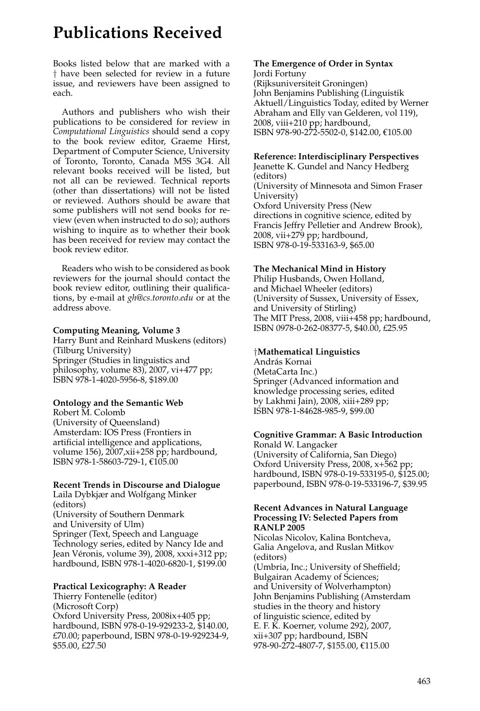# **Publications Received**

Books listed below that are marked with a † have been selected for review in a future issue, and reviewers have been assigned to each.

Authors and publishers who wish their publications to be considered for review in *Computational Linguistics* should send a copy to the book review editor, Graeme Hirst, Department of Computer Science, University of Toronto, Toronto, Canada M5S 3G4. All relevant books received will be listed, but not all can be reviewed. Technical reports (other than dissertations) will not be listed or reviewed. Authors should be aware that some publishers will not send books for review (even when instructed to do so); authors wishing to inquire as to whether their book has been received for review may contact the book review editor.

Readers who wish to be considered as book reviewers for the journal should contact the book review editor, outlining their qualifications, by e-mail at *gh@cs.toronto.edu* or at the address above.

#### **Computing Meaning, Volume 3**

Harry Bunt and Reinhard Muskens (editors) (Tilburg University) Springer (Studies in linguistics and philosophy, volume 83), 2007, vi+477 pp; ISBN 978-1-4020-5956-8, \$189.00

# **Ontology and the Semantic Web**

Robert M. Colomb (University of Queensland) Amsterdam: IOS Press (Frontiers in artificial intelligence and applications, volume 156), 2007,xii+258 pp; hardbound, ISBN 978-1-58603-729-1, €105.00

## **Recent Trends in Discourse and Dialogue**

Laila Dybkjær and Wolfgang Minker (editors) (University of Southern Denmark and University of Ulm) Springer (Text, Speech and Language Technology series, edited by Nancy Ide and Jean Véronis, volume 39), 2008, xxxi+312 pp; hardbound, ISBN 978-1-4020-6820-1, \$199.00

## **Practical Lexicography: A Reader**

Thierry Fontenelle (editor) (Microsoft Corp) Oxford University Press, 2008ix+405 pp; hardbound, ISBN 978-0-19-929233-2, \$140.00, £70.00; paperbound, ISBN 978-0-19-929234-9, \$55.00, £27.50

#### **The Emergence of Order in Syntax** Jordi Fortuny

(Rijksuniversiteit Groningen) John Benjamins Publishing (Linguistik Aktuell/Linguistics Today, edited by Werner Abraham and Elly van Gelderen, vol 119), 2008, viii+210 pp; hardbound, ISBN 978-90-272-5502-0, \$142.00, €105.00

## **Reference: Interdisciplinary Perspectives**

Jeanette K. Gundel and Nancy Hedberg (editors) (University of Minnesota and Simon Fraser University) Oxford University Press (New directions in cognitive science, edited by Francis Jeffry Pelletier and Andrew Brook), 2008, vii+279 pp; hardbound, ISBN 978-0-19-533163-9, \$65.00

## **The Mechanical Mind in History**

Philip Husbands, Owen Holland, and Michael Wheeler (editors) (University of Sussex, University of Essex, and University of Stirling) The MIT Press, 2008, viii+458 pp; hardbound, ISBN 0978-0-262-08377-5, \$40.00, £25.95

## †**Mathematical Linguistics**

András Kornai (MetaCarta Inc.) Springer (Advanced information and knowledge processing series, edited by Lakhmi Jain), 2008, xiii+289 pp; ISBN 978-1-84628-985-9, \$99.00

# **Cognitive Grammar: A Basic Introduction**

Ronald W. Langacker (University of California, San Diego) Oxford University Press, 2008, x+562 pp; hardbound, ISBN 978-0-19-533195-0, \$125.00; paperbound, ISBN 978-0-19-533196-7, \$39.95

#### **Recent Advances in Natural Language Processing IV: Selected Papers from RANLP 2005**

Nicolas Nicolov, Kalina Bontcheva, Galia Angelova, and Ruslan Mitkov (editors) (Umbria, Inc.; University of Sheffield; Bulgairan Academy of Sciences; and University of Wolverhampton) John Benjamins Publishing (Amsterdam studies in the theory and history of linguistic science, edited by E. F. K. Koerner, volume 292), 2007, xii+307 pp; hardbound, ISBN 978-90-272-4807-7, \$155.00, €115.00